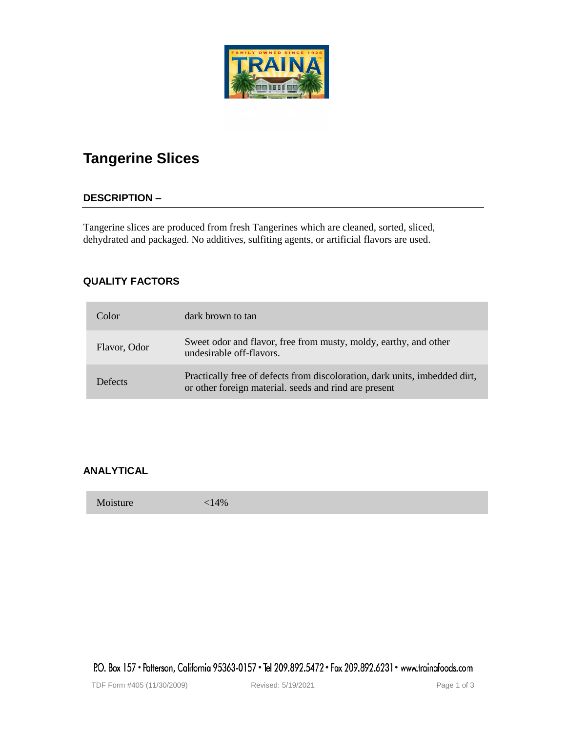# **Tangerine Slices**

# **DESCRIPTION –**

Tangerine slices are produced from fresh Tangerines which are cleaned, sorted, sliced, dehydrated and packaged. No additives, sulfiting agents, or artificial flavors are used.

# **QUALITY FACTORS**

| Color        | dark brown to tan                                                                                                                   |
|--------------|-------------------------------------------------------------------------------------------------------------------------------------|
| Flavor, Odor | Sweet odor and flavor, free from musty, moldy, earthy, and other<br>undesirable off-flavors.                                        |
| Defects      | Practically free of defects from discoloration, dark units, imbedded dirt,<br>or other foreign material. seeds and rind are present |

# **ANALYTICAL**

Moisture <14%

P.O. Box 157 • Patterson, California 95363-0157 • Tel 209.892.5472 • Fax 209.892.6231 • www.trainafoods.com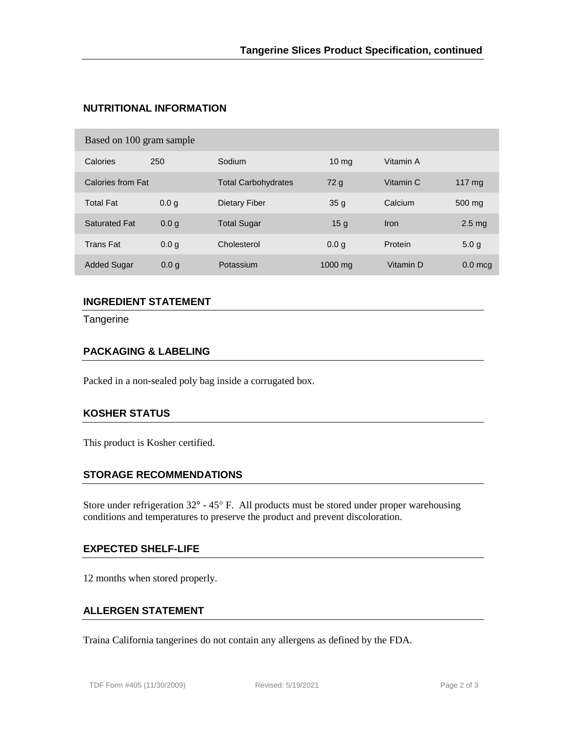# **NUTRITIONAL INFORMATION**

| Calories             | 250              | Sodium                     | $10 \,\mathrm{mg}$ | Vitamin A |                  |
|----------------------|------------------|----------------------------|--------------------|-----------|------------------|
| Calories from Fat    |                  | <b>Total Carbohydrates</b> | 72 g               | Vitamin C | 117 $mg$         |
| <b>Total Fat</b>     | 0.0 <sub>q</sub> | Dietary Fiber              | 35 <sub>q</sub>    | Calcium   | 500 mg           |
| <b>Saturated Fat</b> | 0.0 <sub>q</sub> | <b>Total Sugar</b>         | 15 <sub>g</sub>    | Iron      | $2.5 \text{ mg}$ |
| <b>Trans Fat</b>     | 0.0 <sub>q</sub> | Cholesterol                | 0.0 <sub>q</sub>   | Protein   | 5.0 <sub>g</sub> |
| <b>Added Sugar</b>   | 0.0 <sub>q</sub> | Potassium                  | $1000$ mg          | Vitamin D | $0.0$ mcg        |

# **INGREDIENT STATEMENT**

**Tangerine** 

### **PACKAGING & LABELING**

Packed in a non-sealed poly bag inside a corrugated box.

## **KOSHER STATUS**

This product is Kosher certified.

#### **STORAGE RECOMMENDATIONS**

Store under refrigeration  $32^{\circ}$  -  $45^{\circ}$  F. All products must be stored under proper warehousing conditions and temperatures to preserve the product and prevent discoloration.

#### **EXPECTED SHELF-LIFE**

12 months when stored properly.

#### **ALLERGEN STATEMENT**

Traina California tangerines do not contain any allergens as defined by the FDA.